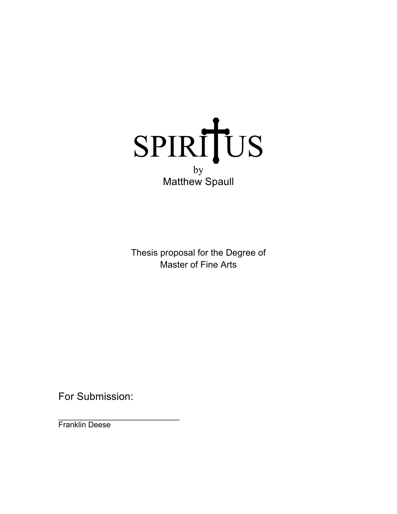

Thesis proposal for the Degree of Master of Fine Arts

For Submission:

 $\mathcal{L}=\{1,2,3,4,5\}$ Franklin Deese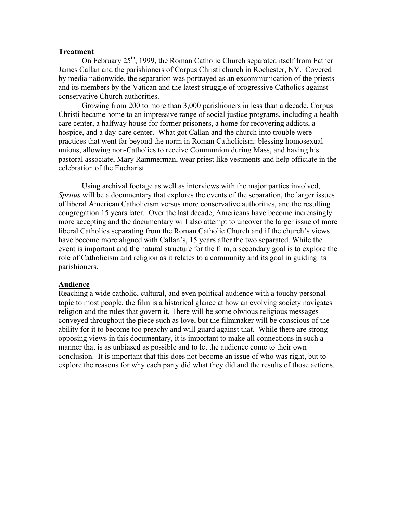#### **Treatment**

On February  $25<sup>th</sup>$ , 1999, the Roman Catholic Church separated itself from Father James Callan and the parishioners of Corpus Christi church in Rochester, NY. Covered by media nationwide, the separation was portrayed as an excommunication of the priests and its members by the Vatican and the latest struggle of progressive Catholics against conservative Church authorities.

Growing from 200 to more than 3,000 parishioners in less than a decade, Corpus Christi became home to an impressive range of social justice programs, including a health care center, a halfway house for former prisoners, a home for recovering addicts, a hospice, and a day-care center. What got Callan and the church into trouble were practices that went far beyond the norm in Roman Catholicism: blessing homosexual unions, allowing non-Catholics to receive Communion during Mass, and having his pastoral associate, Mary Rammerman, wear priest like vestments and help officiate in the celebration of the Eucharist.

Using archival footage as well as interviews with the major parties involved, *Spritus* will be a documentary that explores the events of the separation, the larger issues of liberal American Catholicism versus more conservative authorities, and the resulting congregation 15 years later. Over the last decade, Americans have become increasingly more accepting and the documentary will also attempt to uncover the larger issue of more liberal Catholics separating from the Roman Catholic Church and if the church's views have become more aligned with Callan's, 15 years after the two separated. While the event is important and the natural structure for the film, a secondary goal is to explore the role of Catholicism and religion as it relates to a community and its goal in guiding its parishioners.

#### **Audience**

Reaching a wide catholic, cultural, and even political audience with a touchy personal topic to most people, the film is a historical glance at how an evolving society navigates religion and the rules that govern it. There will be some obvious religious messages conveyed throughout the piece such as love, but the filmmaker will be conscious of the ability for it to become too preachy and will guard against that. While there are strong opposing views in this documentary, it is important to make all connections in such a manner that is as unbiased as possible and to let the audience come to their own conclusion. It is important that this does not become an issue of who was right, but to explore the reasons for why each party did what they did and the results of those actions.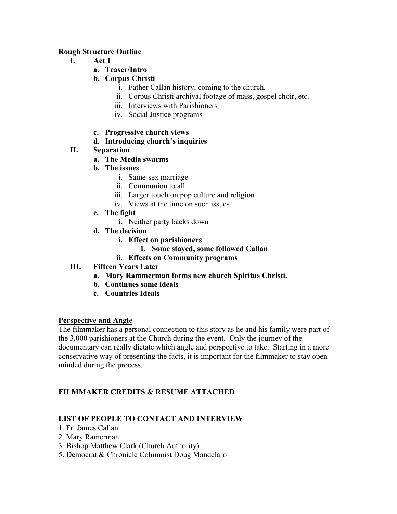### **Rough Structure Outline**

- **I. Act 1**
	- **a. Teaser/Intro**
	- **b. Corpus Christi**
		- i. Father Callan history, coming to the church,
		- ii. Corpus Christi archival footage of mass, gospel choir, etc.
		- iii. Interviews with Parishioners
		- iv. Social Justice programs
	- **c. Progressive church views**

# **d. Introducing church's inquiries**

# **II. Separation**

- **a. The Media swarms**
- **b. The issues**
	- i. Same-sex marriage
	- ii. Communion to all
	- iii. Larger touch on pop culture and religion
	- iv. Views at the time on such issues
- **c. The fight**
	- **i.** Neither party backs down
- **d. The decision**
	- **i. Effect on parishioners**
		- **1. Some stayed, some followed Callan**
	- **ii. Effects on Community programs**
- **III. Fifteen Years Later**
	- **a. Mary Rammerman forms new church Spiritus Christi.**
	- **b. Continues same ideals**
	- **c. Countries Ideals**

## **Perspective and Angle**

The filmmaker has a personal connection to this story as he and his family were part of the 3,000 parishioners at the Church during the event. Only the journey of the documentary can really dictate which angle and perspective to take. Starting in a more conservative way of presenting the facts, it is important for the filmmaker to stay open minded during the process.

# **FILMMAKER CREDITS & RESUME ATTACHED**

## **LIST OF PEOPLE TO CONTACT AND INTERVIEW**

- 1. Fr. James Callan
- 2. Mary Ramerman
- 3. Bishop Matthew Clark (Church Authority)
- 5. Democrat & Chronicle Columnist Doug Mandelaro